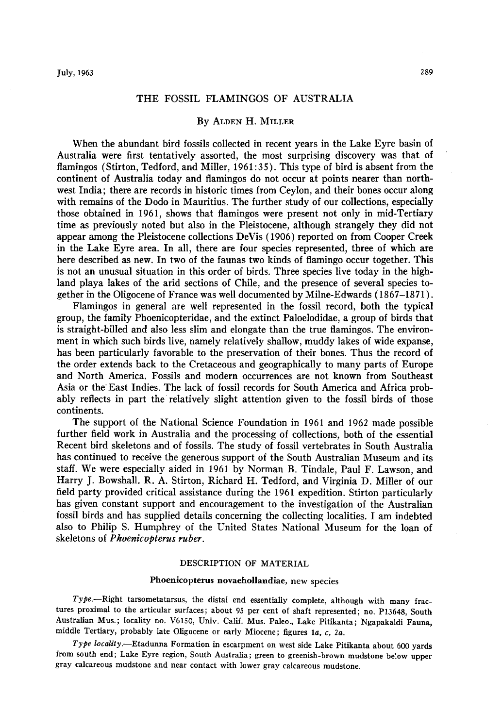# **THE FOSSIL FLAMINGOS OF AUSTRALIA**

## **By ALDEN H. MILLER**

**When the abundant bird fossils collected in recent years in the Lake Eyre basin of Australia were first tentatively assorted, the most surprising discovery was that of flamingos (Stirton, Tedford, and Miller, 1961:35). This type of bird is absent from the continent of Australia today and flamingos do not occur at points nearer than northwest India; there are records in historic times from Ceylon, and their bones occur along with remains of the Dodo in Mauritius. The further study of our collections, especially those obtained in 1961, shows that flamingos were present not only in mid-Tertiary time as previously noted but also in the Pleistocene, although strangely they did not appear among the Pleistocene collections DeVis ( 1906) reported on from Cooper Creek in the Lake Eyre area. In all, there are four species represented, three of which are here described as new. In two of the faunas two kinds of flamingo occur together. This is not an unusual situation in this order of birds. Three species live today in the highland playa lakes of the arid sections of Chile, and the presence of several species together in the Oligocene of France was well documented by Milne-Edwards (1867-1871).** 

**Flamingos in general are well represented in the fossil record, both the typical group, the family Phoenicopteridae, and the extinct Paloelodidae, a group of birds that is straight-billed and also less slim and elongate than the true flamingos. The environment in which such birds live, namely relatively shallow, muddy lakes of wide expanse,**  has been particularly favorable to the preservation of their bones. Thus the record of **the order extends back to the Cretaceous and geographically to many parts of Europe and North America. Fossils and modern occurrences are not known from Southeast Asia or the'East Indies. The lack of fossil records for South America and Africa prob**ably reflects in part the relatively slight attention given to the fossil birds of those **continents.** 

**The support of the National Science Foundation in 1961 and 1962 made possible further field work in Australia and the processing of collections, both of the essential Recent bird skeletons and of fossils. The study of fossil vertebrates in South Australia has continued to receive the generous support of the South Australian Museum and its staff. We were especially aided in 1961 by Norman B. Tindale, Paul F. Lawson, and Harry J. Bowshall. R. A. Stirton, Richard H. Tedford, and Virginia D. Miller of our field party provided critical assistance during the 1961 expedition. Stirton particularly has given constant support and encouragement to the investigation of the Australian fossil birds and has supplied details concerning the collecting localities. I am indebted also to Philip S. Humphrey of the United States National Museum for the loan of skeletons of Phoenicopterus ruber.** 

## **DESCRIPTION OF MATERIAL**

### **Phoenicopterus novaehollandiae, new species**

Type.-Right tarsometatarsus, the distal end essentially complete, although with many frac**tures proximal to the articular surfaces; about 95 per cent of shaft represented; no. P13648, South Australian Mus.; locality no. V6150, Univ. Calif. Mus. Paleo., Lake Pitikanta; Ngapakaldi Fauna, middle Tertiary, probably late Oligocene or early Miocene; figures la, c, 2a.** 

**Type locality.-Etadunna Formation in escarpment on west side Lake Pitikanta about 600 yards from south end; Lake Eyre region, South Australia; green to greenish-brown mudstone below upper gray calcareous mudstone and near contact with lower gray calcareous mudstone.**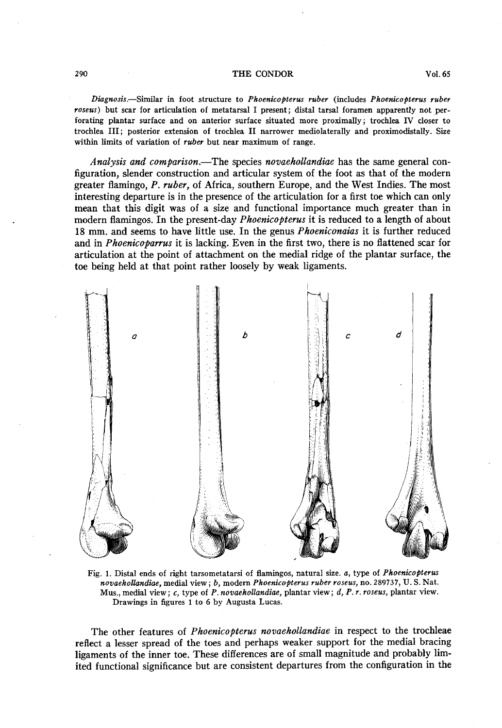#### **290 THE CONDOR Vol. 65**

**Diagnosis.-Similar in foot structure to Phoenicopterus ruber (includes Phoenicopterus ruber rosew) but scar for articulation of metatarsal I present; distal tarsal foramen apparently not perforating plantar surface and on anterior surface situated more proximally; trochlea IV closer to trochlea III; posterior extension of trochlea II narrower mediolaterally and proximodistally. Size within limits of variation of ruber but near maximum of range.** 

**Analysis and comparison.-The species novaehollandiae has the same general configuration, slender construction and articular system of the foot as that of the modern greater flamingo, P. ruber, of Africa, southern Europe, and the West Indies. The most interesting departure is in the presence of the articulation for a first toe which can only mean that this digit was of a size and functional importance much greater than in modern flamingos. In the present-day Phoenicopterus it is reduced to a length of about 18 mm. and seems to have little use. In the genus Phoeniconaias it is further reduced**  and in *Phoenicoparrus* it is lacking. Even in the first two, there is no flattened scar for **articulation at the point of attachment on the medial ridge of the plantar surface, the toe being held at that point rather loosely by weak ligaments.** 



Fig. 1. Distal ends of right tarsometatarsi of flamingos, natural size. a, type of *Phoenicopterus* **novaehollandiae, medial view; b, modern Phoenicopterus ruber roseus, no. 289137, U. S. Nat. Mus., medial view; c, type of P. novaehollandiae, plantar view ; d, P. Y. yoseus, plantar view. Drawings in figures 1 to 6 by Augusta Lucas.** 

**The other features of Phoenicopterus novaehollandiae in respect to the trochleae reflect a lesser spread of the toes and perhaps weaker support for the medial bracing ligaments of the inner toe. These differences are of small magnitude and probably limited functional significance but are consistent departures from the configuration in the**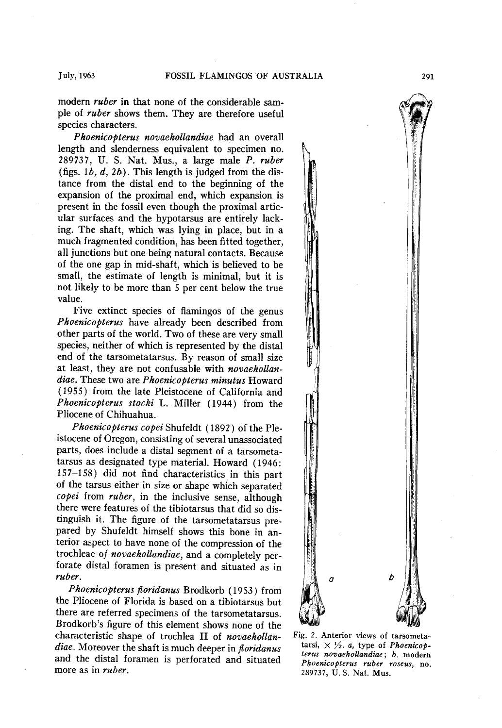**modern ruber in that none of the considerable sam**ple of *ruber* shows them. They are therefore useful **species characters.** 

**Phoenicopterus novaehollandiae had an overall length and slenderness equivalent to specimen no. 289737, U. S. Nat. Mus., a large male P. ruber**   $(figs. 1b, d, 2b)$ . This length is judged from the dis**tance from the distal end to the beginning of the expansion of the proximal end, which expansion is present in the fossil even though the proximal articular surfaces and the hypotarsus are entirely lacking. The shaft, which was lying in place, but in a much fragmented condition, has been fitted together, all junctions but one being natural contacts. Because of the one gap in mid-shaft, which is believed to be small, the estimate of length is minimal, but it is not likely to be more than 5 per cent below the true value.** 

**Five extinct species of flamingos of the genus Phoenicopterus have already been described from other parts of the world. Two of these are very small species, neither of which is represented by the distal end of the tarsometatarsus. By reason of small size at least, they are not confusable with novaehollandiae. These two are Phoenicopterus minutus Howard (19.55) from the late Pleistocene of California and**  Phoenicopterus stocki L. Miller (1944) from the **Pliocene of Chihuahua.** 

**Phoenicopterus copei Shufeldt ( 1892 ) of the Pleistocene of Oregon, consisting of several unassociated parts, does include a distal segment of a tarsometatarsus as designated type material. Howard (1946: 157-158) did not find characteristics in this part of the tarsus either in size or shape which separated copei from ruber, in the inclusive sense, although there were features of the tibiotarsus that did so distinguish it. The figure of the tarsometatarsus prepared by Shufeldt himself shows this bone in anterior aspect to have none of the compression of the trochleae of novaehollandiae, and a completely perforate distal foramen is present and situated as in ruber.** 

**Phoenicopterus floridanus Brodkorb (1953) from the Pliocene of Florida is based on a tibiotarsus but there are referred specimens of the tarsometatarsus. Brodkorb's figure of this element shows none of the characteristic shape of trochlea II of novaehollandiae. Moreover the shaft is much deeper in floridanus and the distal foramen is perforated and situated more as in ruber.** 



**Fig. 2. Anterior views of tarsometa**tarsi,  $\times$   $\frac{1}{2}$ . *a*, type of *Phoenicop***terus novaehollandiae ; b. modern Phoenicopterus ruber roseus, no. 289737, U.S. Nat. Mus.**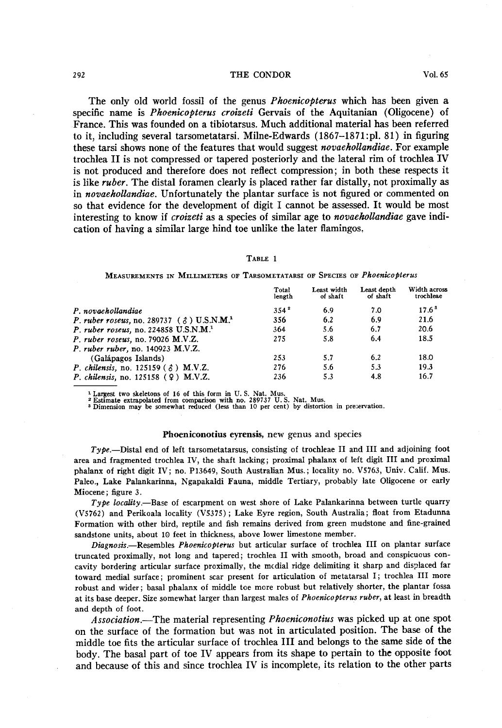### **292 THE CONDOR Vol. 65**

The only old world fossil of the genus *Phoenicopterus* which has been given a **specific name is Phoenicopterus croizeti Gervais of the Aquitanian (Oligocene) of France. This was founded on a tibiotarsus. Much additional material has been referred to it, including several tarsometatarsi. Milne-Edwards (1867-1871 :pl. 81) in figuring these tarsi shows none of the features that would suggest novaehollandiae. For example trochlea II is not compressed or tapered posteriorly and the lateral rim of trochlea IV is not produced and therefore does not reflect compression; in both these respects it is like ruber. The distal foramen clearly is placed rather far distally, not proximally as in novaehollandiae. Unfortunately the plantar surface is not figured or commented on so that evidence for the development of digit I cannot be assessed. It would be most interesting to know if croizeti as a species of similar age to novaehollandiae gave indication of having a similar large hind toe unlike the later flamingos.** 

#### **TABLE 1**

**MEASUREMENTS IN MILLIMETERS OF TARSOMETATARSI OF SPECIES OF Phoenicopterus** 

|                                                                | Total<br>length | Least width<br>of shaft | Least depth<br>of shaft | Width across<br>trochleae |
|----------------------------------------------------------------|-----------------|-------------------------|-------------------------|---------------------------|
| P. novaehollandiae                                             | $354^2$         | 6.9                     | 7.0                     | $17.6^3$                  |
| P. ruber roseus, no. 289737 ( $\delta$ ) U.S.N.M. <sup>1</sup> | 356             | 6.2                     | 6.9                     | 21.6                      |
| P. ruber roseus, no. 224858 $U.S.N.M.1$                        | 364             | 5.6                     | 6.7                     | 20.6                      |
| P. ruber roseus, no. 79026 M.V.Z.                              | 275             | 5.8                     | 6.4                     | 18.5                      |
| P. ruber ruber, no. 140923 M.V.Z.                              |                 |                         |                         |                           |
| (Galápagos Islands)                                            | 253             | 5.7                     | 6.2                     | 18.0                      |
| P. chilensis, no. 125159 ( $\Diamond$ ) M.V.Z.                 | 276             | 5.6                     | 5.3                     | 19.3                      |
| <i>P. chilensis</i> , no. $125158$ (9) M.V.Z.                  | 236             | 5.3                     | 4.8                     | 16.7                      |

<sup>1</sup> Largest two skeletons of 16 of this form in U.S. Nat. Mus.<br><sup>2</sup> Estimate extrapolated from comparison with no. 289737 U.S. Nat. Mus.<br><sup>3</sup> Dimension may be somewhat reduced (less than 10 per cent) by distortion in preserv

### **Phoeniconotius eyrensis, new genus and species**

**Type.-Distal end of left tarsometatarsus, consisting of trochleae II and III and adjoining foot area and fragmented trochlea IV, the shaft lacking; proximal phalanx of left digit III and proximal phalanx of right digit IV; no. P13649, South Australian Mus.; locality no. V5763, Univ. Calif. Mus. Paleo., Lake Palankarinna, Ngapakaldi Fauna, middle Tertiary, probably late Oligocene or early Miocene; figure 3.** 

Type locality.—Base of escarpment on west shore of Lake Palankarinna between turtle quarry **(V.5762) and Perikoala locality (V5375) ; Lake Eyre region, South Australia; float from Etadunna Formation with other bird, reptile and fish remains derived from green mudstone and fine-grained sandstone units, about 10 feet in thickness, above lower limestone member.** 

Diagnosis.-Resembles Phoenicopterus but articular surface of trochlea III on plantar surface **truncated proximally, not long and tapered; trochlea II with smooth, broad and conspicuous concavity bordering articular surface proximally, the medial ridge delimiting it sharp and displaced far toward medial surface; prominent scar present for articulation of metatarsal I; trochlea III more robust and wider; basal phalanx of middle toe more robust but relatively shorter, the plantar fossa at its base deeper. Size somewhat larger than largest males of Phoenicopterus ruber, at least in breadth and depth of foot.** 

**Association.-The material representing Phoeniconotius was picked up at one spot on the surface of the formation but was not in articulated position. The base of the middle toe fits the articular surface of trochlea III and belongs to the same side of the body. The basal part of toe IV appears from its shape to pertain to the opposite foot and because of this and since trochlea IV is incomplete, its relation to the other parts**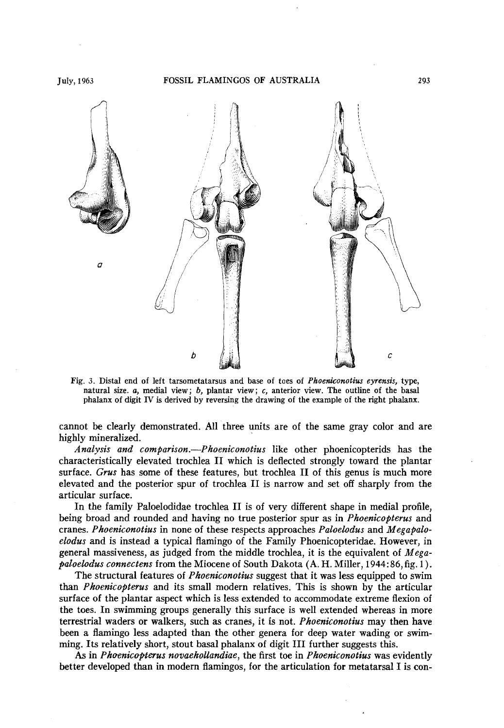

**Fig. 3. Distal end of left tarsometatarsus and base of toes of Phoeniconotius eyrensis, type,**  natural size. a, medial view; b, plantar view; c, anterior view. The outline of the basal **phalanx of digit IV is derived by reversing the drawing of the example of the right phalanx.** 

**cannot be clearly demonstrated. All three units are of the same gray color and are highly mineralized.** 

**Analysis and comparison.-Phoeniconotius like other phoenicopterids has the characteristically elevated trochlea II which is deflected strongly toward the plantar surface. GYW has some of these features, but trochlea II of this genus is much more elevated and the posterior spur of trochlea II is narrow and set off sharply from the articular surface.** 

**In the family Paloelodidae trochlea II is of very different shape in medial profile, being broad and rounded and having no true posterior spur as in Phoenicopterus and cranes. Phoeniconotius in none of these respects approaches Paloelodus and Megapaloelodus and is instead a typical flamingo of the Family Phoenicopteridae. However, in general massiveness, as judged from the middle trochlea, it is the equivalent of Megapaloelodus connectens from the Miocene of South Dakota (A. H. Miller, 1944: 86, fig. 1).** 

**The structural features of Phoeniconotius suggest that it was less equipped to swim than Phoenicopterus and its small modern relatives. This is shown by the articular surface of the plantar aspect which is less extended to accommodate extreme flexion of the toes. In swimming groups generally this surface is well extended whereas in more terrestrial waders or walkers, such as cranes, it is not. Phoeniconotius may then have been a flamingo less adapted than the other genera for deep water wading or swimming. Its relatively short, stout basal phalanx of digit III further suggests this.** 

**As in Phoenicopterus novaehollandiae, the first toe in Phoeniconotius was evidently better developed than in modern flamingos, for the articulation for metatarsal I is con-**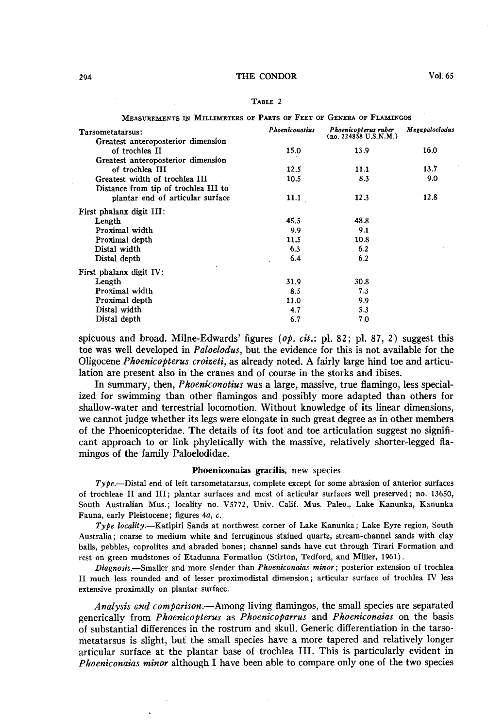### **294 THE CONDOR Vol. 65**

| <b>ABI</b><br>ш |  |
|-----------------|--|
|                 |  |

| MEASUREMENTS IN MILLIMETERS OF PARTS OF FEET OF GENERA OF FLAMINGOS |                       |                                               |                |  |  |  |
|---------------------------------------------------------------------|-----------------------|-----------------------------------------------|----------------|--|--|--|
| Tarsometatarsus:                                                    | <b>Phoeniconotius</b> | Phoenicopterus ruber<br>(no. 224858 U.S.N.M.) | Megapaloelodus |  |  |  |
| Greatest anteroposterior dimension                                  |                       |                                               |                |  |  |  |
| of trochlea II                                                      | 15.0                  | 13.9                                          | 16.0           |  |  |  |
| Greatest anteroposterior dimension                                  |                       |                                               |                |  |  |  |
| of trochlea III                                                     | 12.5                  | 11.1                                          | 13.7           |  |  |  |
| Greatest width of trochlea III                                      | 10.5                  | 8.3                                           | 9.0            |  |  |  |
| Distance from tip of trochlea III to                                |                       |                                               |                |  |  |  |
| plantar end of articular surface                                    | 11.1                  | 12.3                                          | 12.8           |  |  |  |
| First phalanx digit III:                                            |                       |                                               |                |  |  |  |
| Length                                                              | 45.5                  | 48.8                                          |                |  |  |  |
| Proximal width                                                      | 9.9                   | 9.1                                           |                |  |  |  |
| Proximal depth                                                      | 11.5                  | 10.8                                          |                |  |  |  |
| Distal width                                                        | 6.3                   | 6.2                                           |                |  |  |  |
| Distal depth                                                        | 6.4                   | 6.2                                           |                |  |  |  |
| First phalanx digit IV:                                             |                       |                                               |                |  |  |  |
| Length                                                              | 31.9                  | 30.8                                          |                |  |  |  |
| Proximal width                                                      | 8.5                   | 7.3                                           |                |  |  |  |
| Proximal depth                                                      | 11.0                  | 9.9                                           |                |  |  |  |
| Distal width                                                        | 4.7                   | 5.3                                           |                |  |  |  |
| Distal depth                                                        | 6.7                   | 7.0                                           |                |  |  |  |

**spicuous and broad. Milne-Edwards' figures (op. cit.: pl. 82; pl. 87, 2) suggest this toe was well developed in Paloelodus, but the evidence for this is not available for the Oligocene Phoenicopterus croizeti, as already noted. A fairly large hind toe and articulation are present also in the cranes and of course in the storks and ibises.** 

In summary, then, *Phoeniconotius* was a large, massive, true flamingo, less special**ized for swimming than other flamingos and possibly more adapted than others for shallow-water and terrestrial locomotion. Without knowledge of its linear dimensions, we cannot judge whether its legs were elongate in such great degree as in other members of the Phoenicopteridae. The details of its foot' and toe articulation suggest no significant approach to or link phyletically with the massive, relatively shorter-legged flamingos of the family Paloelodidae.** 

### **Phoeniconaias gracilis, new species**

**Type.-Distal end of left tarsometatarsus, complete except for some abrasion of anterior surfaces of trochleae II and III; plantar surfaces and mcst of articu!ar surfaces well preserved; no. 13650, South Australian Mus.; locality no. V5772, Univ. Calif. Mus. Paleo., Lake Kanunka, Kanunka Fauna, early Pleistocene; figures 4a, c.** 

Type locality.-Katipiri Sands at northwest corner of Lake Kanunka; Lake Eyre region, South **Australia; coarse to medium white and ferruginous stained quartz, stream-channel sands with clay balls, pebbles, coprolites and abraded bones; channel sands have cut through Tirari Formation and rest on green mudstones of Etadunna Formation (Stirton, Tedford, and Miller, 1961).** 

**Diagnosis.-Smaller and more slender than Phoeniconaias minor; posterior extension of trochlea II much less rounded and of lesser proximodistal dimension; articular surface of trochlea IV less extensive proximally on plantar surface.** 

**Analysis and comparison.-Among living flamingos, the small species are separated generically from Phoenicopterus as Phoenicoparrus and Phoeniconaias on the basis of substantial differences in the rostrum and skull. Generic differentiation in the tarsometatarsus is slight, but the small species have a more tapered and relatively longer articular surface at the plantar base of trochlea III. This is particularly evident in Phoeniconaias minor although I have been able to compare only one of the two species**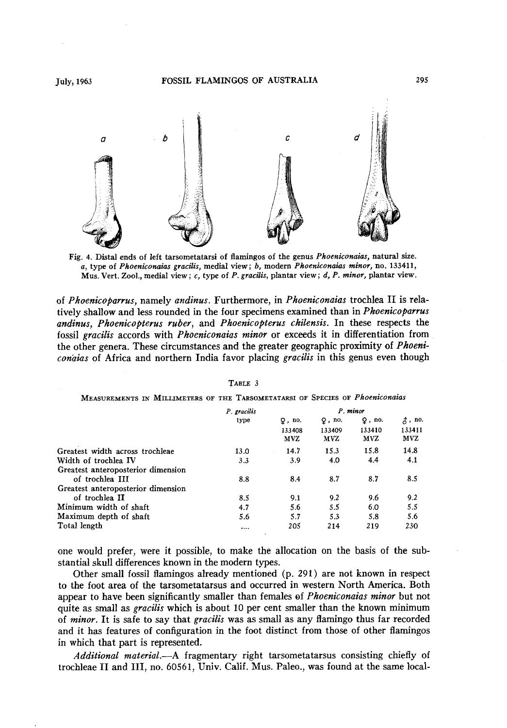

**Fig. 4. Distal ends of left tarsometatarsi of flamingos of the genus Phoeniconuias, natural sire. a, type of Phoeniconaius gracilis, medial view; b, modern Phoeniconaias minor, no. 133411, Mus. Verb Zoo]., medial view; c, type of P. grucilis, plantar view ; d, P. minor, plantar view.** 

of *Phoenicoparrus*, namely *andinus*. Furthermore, in *Phoeniconaias* trochlea II is relatively shallow and less rounded in the four specimens examined than in *Phoenicoparrus* andinus, Phoenicopterus ruber, and Phoenicopterus chilensis. In these respects the **fossil gracilis accords with Phoeniconaias minor or exceeds it in differentiation from the other genera. These circumstances and the greater geographic proximity of Phoeni**conaias of Africa and northern India favor placing gracilis in this genus even though

| P gracilis<br>type | P. minor      |               |               |                 |
|--------------------|---------------|---------------|---------------|-----------------|
|                    | $Q$ , no.     | $Q$ , no.     | $Q$ , no.     | $\lambda$ , no. |
|                    | 133408<br>MVZ | 133409<br>MVZ | 133410<br>MVZ | 133411<br>MVZ   |
| 13.0               | 14.7          | 15.3          | 15.8          | 14.8            |
| 3.3                | 3.9           | 4.0           | 4.4           | 4.1             |
|                    |               |               |               |                 |
| 8.8                | 8.4           | 8.7           | 8.7           | 8.5             |
|                    |               |               |               |                 |
| 8.5                | 9.1           | 9.2           | 9.6           | 9.2             |
| 4.7                | 5.6           | 5.5           | 6.0           | 5.5             |
| 5.6                | 5.7           | 5.3           | 5.8           | 5.6             |
| $\ddotsc$          | 205           | 214           | 219           | 230             |
|                    |               |               |               |                 |

**TABLE 3** 

## **MEASUREMENTS IN MILLIMETERS OF THE TARSOMETATARSI OF SPECIES OF Phoeniconaias**

**one would prefer, were it possible, to make the allocation on the basis of the substantial skull differences known in the modern types.** 

**Other small fossil flamingos already mentioned (p. 291) are not known in respect to the foot area of the tarsometatarsus and occurred in western North America. Both appear to have been significantly smaller than females of Phoeniconaias minor but not**  quite as small as *gracilis* which is about 10 per cent smaller than the known minimum **of minor. It is safe to say that gracilis was as small as any flamingo thus far recorded and it has features of configuration in the foot distinct from those of other flamingos in which that part is represented.** 

**Additional material.-A fragmentary right tarsometatarsus consisting chiefly of trochleae II and III, no. 60561, Univ. Calif. Mus. Paleo., was found at the same local-**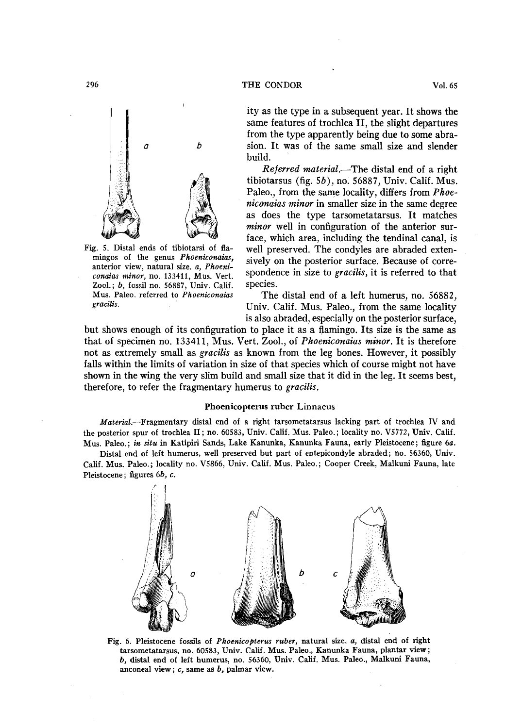

**Fig. 5. Distal ends of tibiotarsi of flamingos of the genus Phoeniconaias, anterior view, natural size. a, Phoeniconaias minor, no. 133411, Mus. Vert. Zool.; 6, fossil no. 56887, Univ. Calif. Mus. Paleo. referred to Phoeniconaias gracilis.** 

**ity as the type in a subsequent year. It shows the same features of trochlea II, the slight departures from the type apparently being due to some abrasion. It was of the same small size and slender build.** 

Referred material.—The distal end of a right **tibiotarsus (fig. Sb), no. 56887, Univ. Calif. Mus. Paleo., from the same locality, differs from Phoeniconaias minor in smaller size in the same degree as does the type tarsometatarsus. It matches minor well in configuration of the anterior surface, which area, including the tendinal canal, is well preserved. The condyles are abraded extensively on the posterior surface. Because of correspondence in size to gracilis, it is referred to that species.** 

**The distal end of a left humerus, no. 56882, Univ. Calif. Mus. Paleo., from the same locality is also abraded, especially on the posterior surface,** 

**but shows enough of its configuration to place it as a flamingo. Its size is the same as that of specimen no. 133411, Mus. Vert. Zool., of Phoeniconaias minor. It is therefore not as extremely small as gracilis as known from the leg bones. However, it possibly falls within the limits of variation in size of that species which of course might not have shown in the wing the very slim build and small size that it did in the leg. It seems best, therefore, to refer the fragmentary humerus to gracilis.** 

#### **Phoenicopterus ruber Linnaeus**

**Material.-Fragmentary distal end of a right tarsometatarsus lacking part of trochlea IV and the posterior spur of trochlea II; no. 60583, Univ. Calif. Mus. Paleo.; locality no. V5772, Univ. Calif. Mus. Paleo.; in situ in Katipiri Sands, Lake Kanunka, Kanunka Fauna, early Pleistocene; figure 6a.** 

**Distal end of left humerus, well preserved but part of entepicondyle abraded; no. 56360, Univ. Calif. Mus. Paleo.; locality no. V5866, Univ. Calif. Mus. Paleo.; Cooper Creek, Malkuni Fauna, late Pleistocene ; figures 6b, c.** 



**Fig. 6. Pleistocene fossils of Phoenicopterus vuber, natural size. a, distal end of right tarsometatarsus, no. 60583, Univ. Calif. Mus. Paleo., Kanunka Fauna, plantar view; b, distal end of left humerus, no. 56360, Univ. Calif. Mus. Paleo., Malkuni Fauna, anconeal view ; c, same as b, palmar view.**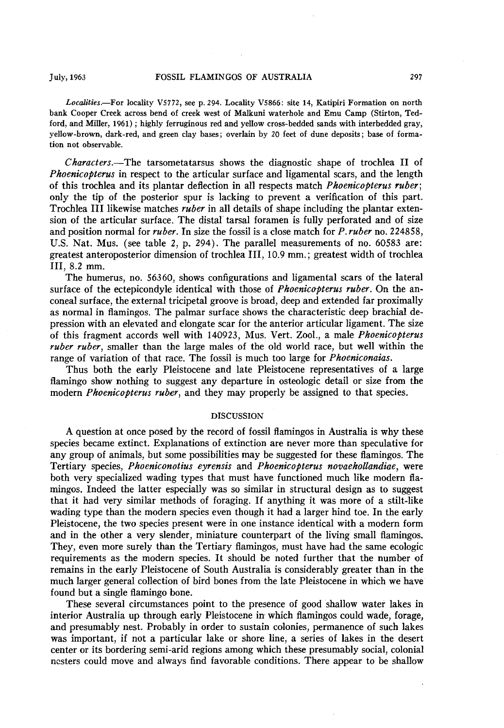**Localities.-For locality V5772, see p. 294. Locality V5866: site 14, Katipiri Formation on north bank Cooper Creek across bend of creek west of Malkuni waterhole and Emu Camp (Stirton, Tedford, and Miller, 1961) ; highly ferruginous red and yellow cross-bedded sands with interbedded gray, yellow-brown, dark-red, and green clay bases; overlain by 20 feet of dune deposits; base of formation not observable.** 

**Characters.-The tarsometatarsus shows the diagnostic shape of trochlea II of Phoenicopterus in respect to the articular surface and ligamental scars, and the length of this trochlea and its plantar deflection in all respects match Phoenicopterus ruber; only the tip of the posterior spur is lacking to prevent a verification of this part. Trochlea III likewise matches ruber in all details of shape including the plantar extension of the articular surface. The distal. tarsal foramen is fully perforated and of size and position normal for ruber. ' In size the fossil is a close match for P. ruber no. 224858, U.S. Nat. Mus. (see table 2, p. 294). The parallel measurements of no. 60583 are: greatest anteroposterior dimension of trochlea III, 10.9 mm.; greatest width of trochlea III, 8.2 mm.** 

**The humerus, no. 56360, shows configurations and ligamental scars of the lateral**  surface of the ectepicondyle identical with those of *Phoenicopterus ruber*. On the an**coneal surface, the external tricipetal groove is broad, deep and extended far proximally as normal in flamingos. The palmar surface shows the characteristic deep brachial depression with an elevated and elongate scar for the anterior articular ligament. The size of this fragment accords well with 140923, Mus. Vert. Zool., a male Phoenicopterus ruber ruber, smaller than the large males of the old world race, but well within the**  range of variation of that race. The fossil is much too large for *Phoeniconaias*.

**Thus both the early Pleistocene and late Pleistocene representatives of a large flamingo show nothing to suggest any departure in osteologic detail or size from the**  modern *Phoenicopterus ruber*, and they may properly be assigned to that species.

## **DISCUSSION**

**A question at once posed by the record of fossil flamingos in Australia is why these species became extinct. Explanations of extinction are never more than speculative for any group of animals, but some possibilities may be suggested for these flamingos. The Tertiary species, Phoeniconotius eyrensis and Phoenicopterus novaehollandiae, were both very specialized wading types that must have functioned much like modern flamingos. Indeed the latter especially was so similar in structural design as to suggest that it had very similar methods of foraging. If anything it was more of a stilt-like wading type than the modern species even though it had a larger hind toe. In the early Pleistocene, the two species present were in one instance identical with a modern form and in the other a very slender, miniature counterpart of the living small flamingos. They, even more surely than the Tertiary flamingos, must have had the same ecologic requirements as the modern species. It should be noted further that the number of remains in the early Pleistocene of South Australia is considerably greater than in the much larger general collection of bird bones from the late Pleistocene in which we have found but a single flamingo bone.** 

**These several circumstances point to the presence of good shallow water lakes in interior Australia up through early Pleistocene in which flamingos could wade, forage, and presumably nest. Probably in order to sustain colonies, permanence of such lakes was important, if not a particular lake or shore line, a series of lakes in the desert center or its bordering semi-arid regions among which these presumably social, colonial nesters could move and always find favorable conditions. There appear to be shallow**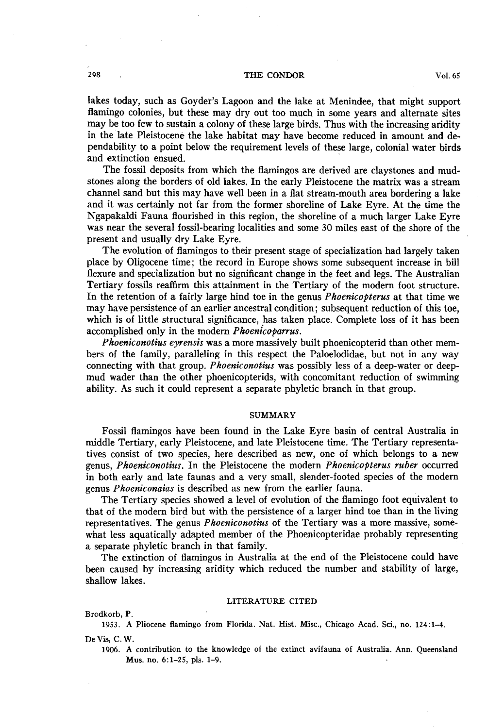### **298 , THE CONDOR Vol. 65**

**lakes today, such as Goyder's Lagoon and the lake at Menindee, that might support flamingo colonies, but these may dry out too much in some years and alternate sites may be too few to sustain a colony of these large birds. Thus with the increasing aridity in the late Pleistocene the lake habitat may have become reduced in amount and dependability to a point below the requirement levels of these large, colonial water birds and extinction ensued.** 

**The fossil deposits from which the flamingos are derived are claystones and mudstones along the borders of old lakes. In the early Pleistocene the matrix was a stream channel sand but this may have well been in a flat stream-mouth area bordering a lake and it was certainly not far from the former shoreline of Lake Eyre. At the time the Ngapakaldi Fauna flourished in this region, the shoreline of a much larger Lake Eyre was near the several fossil-bearing localities and some 30 miles east of the shore of the present and usually dry Lake Eyre.** 

**The evolution of flamingos to their present stage of specialization had largely taken place by Oligocene time; the record in Europe shows some subsequent increase in bill flexure and specialization but no significant change in the feet and legs. The Australian Tertiary fossils reaffirm this attainment in the Tertiary of the modern foot structure. In the retention of a fairly large hind toe in the genus Phoenicopterus at that time we may have persistence of an earlier ancestral condition; subsequent reduction of this toe, which is of little structural significance, has taken place. Complete loss of it has been**  accomplished only in the modern *Phoenicoparrus*.

**Phoeniconotius eyrensis was a more massively built phoenicopterid than other members of the family, paralleling in this respect the Paloelodidae, but not in any way connecting with that group. Phoeniconotius was possibly less of a deep-water or deepmud wader than the other phoenicopterids, with concomitant reduction of swimming ability. As such it could represent a separate phyletic branch in that group.** 

#### **SUMMARY**

**Fossil flamingos have been found in the Lake Eyre basin of central Australia in middle Tertiary, early Pleistocene, and late Pleistocene time. The Tertiary representatives consist of two species, here described as new, one of which belongs to a new genus, Phoeniconotius. In the Pleistocene the modern Phoenicopterus ruber occurred in both early and late faunas and a very small, slender-footed species of the modern**  genus *Phoeniconaias* is described as new from the earlier fauna.

**The Tertiary species showed a level of evolution of the flamingo foot equivalent to that of the modern bird but with the persistence of a larger hind toe than in the living representatives. The genus Phoeniconotius of the Tertiary was a more massive, somewhat less aquatically adapted member of the Phoenicopteridae probably representing a separate phyletic branch in that family.** 

**The extinction of flamingos in Australia at the end of the Pleistocene could have been caused by increasing aridity which reduced the number and stability of large, shallow lakes.** 

### **LITERATURE CITED**

**Brodkorb, P.** 

**1953. A Pliocene flamingo from Florida. Nat. Hist. Misc., Chicago Acad. Sci., no. 124:1-4. De Vis, C. W.** 

**1906. A contribution to the knowledge of the extinct avifauna of Australia. Ann. Queensland Mus. no. 6:1-25, pls. l-9.**